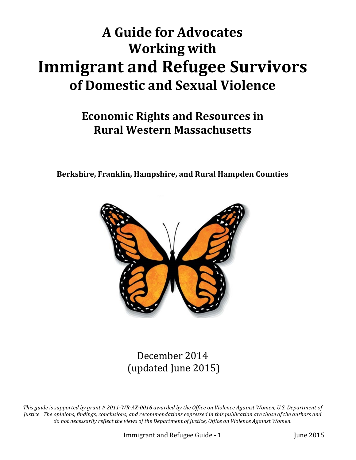# **A** Guide for Advocates **Working with Immigrant and Refugee Survivors of Domestic and Sexual Violence**

# **Economic Rights and Resources in Rural Western Massachusetts**

Berkshire, Franklin, Hampshire, and Rural Hampden Counties



December 2014 (updated June 2015)

This guide is supported by grant # 2011-WR-AX-0016 awarded by the Office on Violence Against Women, U.S. Department of Justice. The opinions, findings, conclusions, and recommendations expressed in this publication are those of the authors and *do* not necessarily reflect the views of the Department of Justice, Office on Violence Against Women.

Immigrant and Refugee Guide - 1 June 2015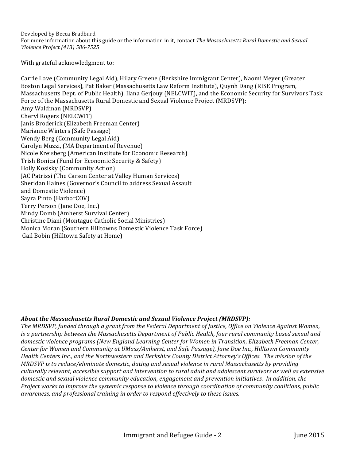Developed by Becca Bradburd For more information about this guide or the information in it, contact The Massachusetts Rural Domestic and Sexual *Violence Project (413) 586-7525*

With grateful acknowledgment to:

Carrie Love (Community Legal Aid), Hilary Greene (Berkshire Immigrant Center), Naomi Meyer (Greater Boston Legal Services), Pat Baker (Massachusetts Law Reform Institute), Quynh Dang (RISE Program, Massachusetts Dept. of Public Health), Ilana Gerjouy (NELCWIT), and the Economic Security for Survivors Task Force of the Massachusetts Rural Domestic and Sexual Violence Project (MRDSVP): Amy Waldman (MRDSVP) Cheryl Rogers (NELCWIT) Janis Broderick (Elizabeth Freeman Center) Marianne Winters (Safe Passage) Wendy Berg (Community Legal Aid) Carolyn Muzzi, (MA Department of Revenue) Nicole Kreisberg (American Institute for Economic Research) Trish Bonica (Fund for Economic Security & Safety) Holly Kosisky (Community Action) JAC Patrissi (The Carson Center at Valley Human Services) Sheridan Haines (Governor's Council to address Sexual Assault and Domestic Violence) Sayra Pinto (HarborCOV) Terry Person (Jane Doe, Inc.) Mindy Domb (Amherst Survival Center) Christine Diani (Montague Catholic Social Ministries) Monica Moran (Southern Hilltowns Domestic Violence Task Force) Gail Bobin (Hilltown Safety at Home)

#### *About the Massachusetts Rural Domestic and Sexual Violence Project (MRDSVP):*

*The MRDSVP, funded through a grant from the Federal Department of Justice, Office on Violence Against Women, is* a partnership between the Massachusetts Department of Public Health, four rural community based sexual and *domestic violence programs* (New England Learning Center for Women in Transition, Elizabeth Freeman Center, *Center for Women and Community at UMass/Amherst, and Safe Passage), Jane Doe Inc., Hilltown Community Health Centers Inc., and the Northwestern and Berkshire County District Attorney's Offices. The mission of the MRDSVP* is to reduce/eliminate domestic, dating and sexual violence in rural Massachusetts by providing *culturally relevant, accessible support and intervention to rural adult and adolescent survivors as well as extensive domestic and sexual violence community education, engagement and prevention initiatives. In addition, the Project* works to improve the systemic response to violence through coordination of community coalitions, public *awareness, and professional training in order to respond effectively to these issues.*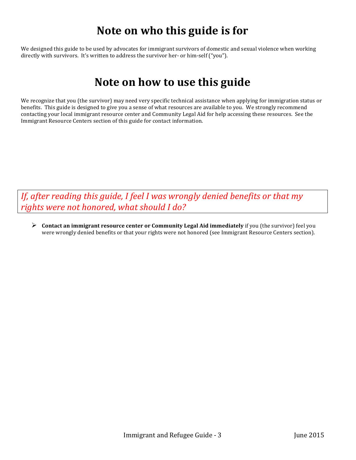# **Note on who this guide is for**

We designed this guide to be used by advocates for immigrant survivors of domestic and sexual violence when working directly with survivors. It's written to address the survivor her- or him-self ("you").

# **Note on how to use this guide**

We recognize that you (the survivor) may need very specific technical assistance when applying for immigration status or benefits. This guide is designed to give you a sense of what resources are available to you. We strongly recommend contacting your local immigrant resource center and Community Legal Aid for help accessing these resources. See the Immigrant Resource Centers section of this guide for contact information.

*If, after reading this guide, I feel I was wrongly denied benefits or that my* rights were not honored, what should I do?

 $\triangleright$  **Contact an immigrant resource center or Community Legal Aid immediately** if you (the survivor) feel you were wrongly denied benefits or that your rights were not honored (see Immigrant Resource Centers section).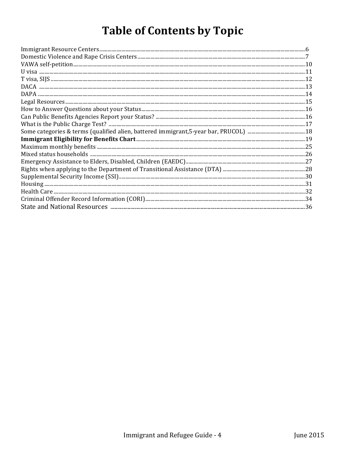# **Table of Contents by Topic**

| ${\bf \small \textbf{Immigrant Resource Centers} \color{black}.\textcolor{blue}{3.5\textwidth}.\textcolor{blue}{5.5\textwidth}.\textcolor{blue}{5.5\textwidth}.\textcolor{blue}{5.5\textwidth}.\textcolor{blue}{7.5\textwidth}.\textcolor{blue}{7.5\textwidth}.\textcolor{blue}{7.5\textwidth}.\textcolor{blue}{7.5\textwidth}.\textcolor{blue}{7.5\textwidth}.\textcolor{blue}{7.5\textwidth}.\textcolor{blue}{7.5\textwidth}.\textcolor{blue}{7.5\textwidth}.\textcolor{blue}{7.5\textwidth}.\textcolor{blue}{7.5\textwidth}.\textcolor{blue}{7.5\textwidth}.\textcolor{blue}{7$ |  |
|------------------------------------------------------------------------------------------------------------------------------------------------------------------------------------------------------------------------------------------------------------------------------------------------------------------------------------------------------------------------------------------------------------------------------------------------------------------------------------------------------------------------------------------------------------------------------------|--|
|                                                                                                                                                                                                                                                                                                                                                                                                                                                                                                                                                                                    |  |
|                                                                                                                                                                                                                                                                                                                                                                                                                                                                                                                                                                                    |  |
|                                                                                                                                                                                                                                                                                                                                                                                                                                                                                                                                                                                    |  |
|                                                                                                                                                                                                                                                                                                                                                                                                                                                                                                                                                                                    |  |
|                                                                                                                                                                                                                                                                                                                                                                                                                                                                                                                                                                                    |  |
| $\begin{tabular}{ c c c c c } \hline {\texttt{DACA}}\texttt{}{\texttt{}}\hline \multicolumn{1}{ c }{13}\\ \hline {\texttt{DAPA}}\texttt{}{\texttt{}}\hline \multicolumn{1}{ c }{14}\\ \hline \texttt{Legal Resources}}{15}\\ \hline \end{tabular}$                                                                                                                                                                                                                                                                                                                                 |  |
|                                                                                                                                                                                                                                                                                                                                                                                                                                                                                                                                                                                    |  |
|                                                                                                                                                                                                                                                                                                                                                                                                                                                                                                                                                                                    |  |
|                                                                                                                                                                                                                                                                                                                                                                                                                                                                                                                                                                                    |  |
|                                                                                                                                                                                                                                                                                                                                                                                                                                                                                                                                                                                    |  |
|                                                                                                                                                                                                                                                                                                                                                                                                                                                                                                                                                                                    |  |
|                                                                                                                                                                                                                                                                                                                                                                                                                                                                                                                                                                                    |  |
|                                                                                                                                                                                                                                                                                                                                                                                                                                                                                                                                                                                    |  |
|                                                                                                                                                                                                                                                                                                                                                                                                                                                                                                                                                                                    |  |
|                                                                                                                                                                                                                                                                                                                                                                                                                                                                                                                                                                                    |  |
|                                                                                                                                                                                                                                                                                                                                                                                                                                                                                                                                                                                    |  |
|                                                                                                                                                                                                                                                                                                                                                                                                                                                                                                                                                                                    |  |
|                                                                                                                                                                                                                                                                                                                                                                                                                                                                                                                                                                                    |  |
|                                                                                                                                                                                                                                                                                                                                                                                                                                                                                                                                                                                    |  |
|                                                                                                                                                                                                                                                                                                                                                                                                                                                                                                                                                                                    |  |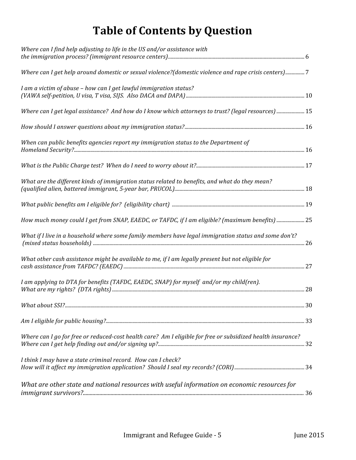# **Table of Contents by Question**

| Where can I find help adjusting to life in the US and/or assistance with                                    |  |
|-------------------------------------------------------------------------------------------------------------|--|
| Where can I get help around domestic or sexual violence?(domestic violence and rape crisis centers)7        |  |
| I am a victim of abuse - how can I get lawful immigration status?                                           |  |
| Where can I get legal assistance? And how do I know which attorneys to trust? (legal resources)  15         |  |
|                                                                                                             |  |
| When can public benefits agencies report my immigration status to the Department of                         |  |
|                                                                                                             |  |
| What are the different kinds of immigration status related to benefits, and what do they mean?              |  |
|                                                                                                             |  |
| How much money could I get from SNAP, EAEDC, or TAFDC, if I am eligible? (maximum benefits)  25             |  |
| What if I live in a household where some family members have legal immigration status and some don't?       |  |
| What other cash assistance might be available to me, if I am legally present but not eligible for           |  |
| I am applying to DTA for benefits (TAFDC, EAEDC, SNAP) for myself and/or my child(ren).                     |  |
|                                                                                                             |  |
|                                                                                                             |  |
| Where can I go for free or reduced-cost health care? Am I eligible for free or subsidized health insurance? |  |
| I think I may have a state criminal record. How can I check?                                                |  |
| What are other state and national resources with useful information on economic resources for               |  |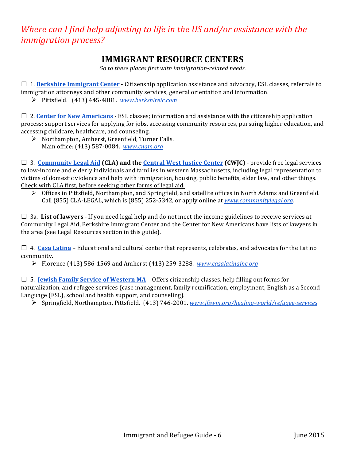# <span id="page-5-0"></span>*Where can I find help adjusting to life in the US and/or assistance with the immigration process?*

### **IMMIGRANT RESOURCE CENTERS**

Go to these places first with immigration-related needs.

□ 1. **Berkshire Immigrant Center** - Citizenship application assistance and advocacy, ESL classes, referrals to immigration attorneys and other community services, general orientation and information.

Ø Pittsfield. (413) 445-4881. *www.berkshireic.com*

 $\Box$  2. **Center for New Americans** - ESL classes; information and assistance with the citizenship application process; support services for applying for jobs, accessing community resources, pursuing higher education, and accessing childcare, healthcare, and counseling.

 $\triangleright$  Northampton, Amherst, Greenfield, Turner Falls. Main office: (413) 587-0084. *www.cnam.org* 

 $\Box$  3. **Community Legal Aid (CLA) and the Central West Justice Center (CWJC) - provide free legal services** to low-income and elderly individuals and families in western Massachusetts, including legal representation to victims of domestic violence and help with immigration, housing, public benefits, elder law, and other things. Check with CLA first, before seeking other forms of legal aid.

 $\triangleright$  Offices in Pittsfield, Northampton, and Springfield, and satellite offices in North Adams and Greenfield. Call (855) CLA-LEGAL, which is (855) 252-5342, or apply online at *www.communitylegal.org.* 

 $\Box$  3a. List of lawyers - If you need legal help and do not meet the income guidelines to receive services at Community Legal Aid, Berkshire Immigrant Center and the Center for New Americans have lists of lawyers in the area (see Legal Resources section in this guide).

 $\Box$  4. **Casa Latina** – Educational and cultural center that represents, celebrates, and advocates for the Latino community.

Ø Florence (413) 586-1569 and Amherst (413) 259-3288. *www.casalatinainc.org*

 $\Box$  5. **Jewish Family Service of Western MA** – Offers citizenship classes, help filling out forms for naturalization, and refugee services (case management, family reunification, employment, English as a Second Language (ESL), school and health support, and counseling).

Ø Springfield, Northampton, Pittsfield. (413) 746-2001. *www.jfswm.org/healing-world/refugee-services*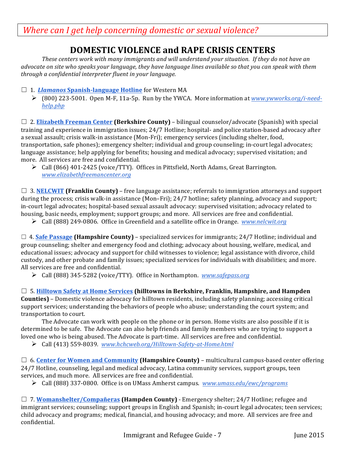<span id="page-6-0"></span>*Where can I get help concerning domestic or sexual violence?* 

# **DOMESTIC VIOLENCE and RAPE CRISIS CENTERS**

These centers work with many immigrants and will understand your situation. If they do not have an *advocate* on site who speaks your language, they have language lines available so that you can speak with them *through a confidential interpreter fluent in your language.*

- □ 1. *Llamanos* Spanish-language Hotline for Western MA
	- Ø (800) 223-5001. Open M-F, 11a-5p. Run by the YWCA. More information at *www.ywworks.org/i-needhelp.php*

□ 2. **Elizabeth Freeman Center (Berkshire County)** – bilingual counselor/advocate (Spanish) with special training and experience in immigration issues; 24/7 Hotline; hospital- and police station-based advocacy after a sexual assault; crisis walk-in assistance (Mon-Fri); emergency services (including shelter, food, transportation, safe phones); emergency shelter; individual and group counseling; in-court legal advocates; language assistance; help applying for benefits; housing and medical advocacy; supervised visitation; and more. All services are free and confidential.

 $\triangleright$  Call (866) 401-2425 (voice/TTY). Offices in Pittsfield, North Adams, Great Barrington. *www.elizabethfreemancenter.org*

 $\Box$  3. **NELCWIT** (Franklin County) – free language assistance; referrals to immigration attorneys and support during the process; crisis walk-in assistance  $(Mon-Fri)$ ;  $24/7$  hotline; safety planning, advocacy and support; in-court legal advocates; hospital-based sexual assault advocacy: supervised visitation; advocacy related to housing, basic needs, employment; support groups; and more. All services are free and confidential.

**►** Call (888) 249-0806. Office in Greenfield and a satellite office in Orange. *www.nelcwit.org* 

 $\Box$  4. **Safe Passage (Hampshire County)** – specialized services for immigrants; 24/7 Hotline; individual and group counseling; shelter and emergency food and clothing; advocacy about housing, welfare, medical, and educational issues; advocacy and support for child witnesses to violence; legal assistance with divorce, child custody, and other probate and family issues; specialized services for individuals with disabilities; and more. All services are free and confidential.

**►** Call (888) 345-5282 (voice/TTY). Office in Northampton. *www.safepass.org* 

□ 5. **Hilltown Safety at Home Services (hilltowns in Berkshire, Franklin, Hampshire, and Hampden Counties)** – Domestic violence advocacy for hilltown residents, including safety planning; accessing critical support services; understanding the behaviors of people who abuse; understanding the court system; and transportation to court.

The Advocate can work with people on the phone or in person. Home visits are also possible if it is determined to be safe. The Advocate can also help friends and family members who are trying to support a loved one who is being abused. The Advocate is part-time. All services are free and confidential.

Ø Call (413) 559-8039. *www.hchcweb.org/Hilltown-Safety-at-Home.html*

□ 6. **Center for Women and Community (Hampshire County)** – multicultural campus-based center offering 24/7 Hotline, counseling, legal and medical advocacy, Latina community services, support groups, teen services, and much more. All services are free and confidential.

Ø Call (888) 337-0800. Office is on UMass Amherst campus. *www.umass.edu/ewc/programs*

□ 7. **Womanshelter/Compañeras** (Hampden County) - Emergency shelter; 24/7 Hotline; refugee and immigrant services; counseling; support groups in English and Spanish; in-court legal advocates; teen services; child advocacy and programs; medical, financial, and housing advocacy; and more. All services are free and confidential.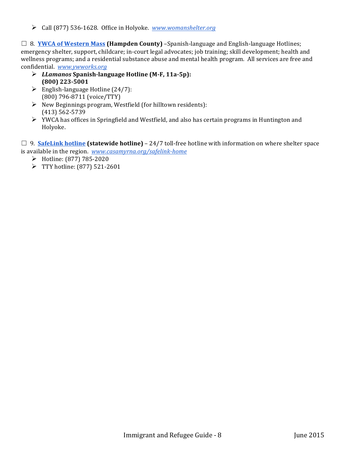Ø Call (877) 536-1628. Office in Holyoke. *www.womanshelter.org*

 $\Box$  8. **YWCA of Western Mass (Hampden County)** –Spanish-language and English-language Hotlines; emergency shelter, support, childcare; in-court legal advocates; job training; skill development; health and wellness programs; and a residential substance abuse and mental health program. All services are free and confidential. *www.ywworks.org*

- Ø *LLamanos* **Spanish-language Hotline (M-F, 11a-5p): (800) 223-5001**
- $\triangleright$  English-language Hotline (24/7): (800) 796-8711 (voice/TTY)
- $\triangleright$  New Beginnings program, Westfield (for hilltown residents): (413) 562-5739
- $\triangleright$  YWCA has offices in Springfield and Westfield, and also has certain programs in Huntington and Holyoke.
- $\Box$  9. **SafeLink hotline** (statewide hotline) 24/7 toll-free hotline with information on where shelter space is available in the region. *www.casamyrna.org/safelink-home* 
	- $\triangleright$  Hotline: (877) 785-2020
	- $\triangleright$  TTY hotline: (877) 521-2601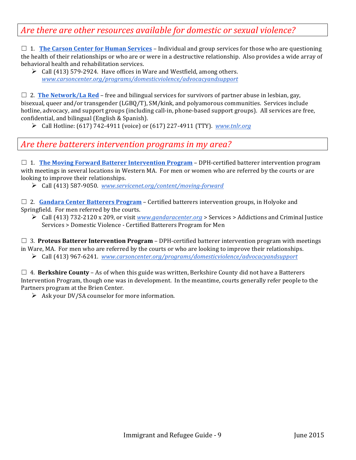### Are there are other resources available for domestic or sexual violence?

 $\Box$  1. **The Carson Center for Human Services** – Individual and group services for those who are questioning the health of their relationships or who are or were in a destructive relationship. Also provides a wide array of behavioral health and rehabilitation services.

 $\triangleright$  Call (413) 579-2924. Have offices in Ware and Westfield, among others. *www.carsoncenter.org/programs/domesticviolence/advocacyandsupport*

 $\Box$  2. **The Network/La Red** – free and bilingual services for survivors of partner abuse in lesbian, gay, bisexual, queer and/or transgender (LGBQ/T), SM/kink, and polyamorous communities. Services include hotline, advocacy, and support groups (including call-in, phone-based support groups). All services are free, confidential, and bilingual (English & Spanish).

Ø Call Hotline: (617) 742-4911 (voice) or (617) 227-4911 (TTY). *www.tnlr.org*

#### Are there batterers intervention programs in my area?

 $\Box$  1. **The Moving Forward Batterer Intervention Program** – DPH-certified batterer intervention program with meetings in several locations in Western MA. For men or women who are referred by the courts or are looking to improve their relationships.

Ø Call (413) 587-9050. *www.servicenet.org/content/moving-forward*

 $\Box$  2. **Gandara Center Batterers Program** – Certified batterers intervention groups, in Holyoke and Springfield. For men referred by the courts.

Ø Call (413) 732-2120 x 209, or visit *www.gandaracenter.org* > Services > Addictions and Criminal Justice Services > Domestic Violence - Certified Batterers Program for Men

 $\Box$  3. **Proteus Batterer Intervention Program** – DPH-certified batterer intervention program with meetings in Ware, MA. For men who are referred by the courts or who are looking to improve their relationships. Ø Call (413) 967-6241. *www.carsoncenter.org/programs/domesticviolence/advocacyandsupport*

 $\Box$  4. **Berkshire County** – As of when this guide was written, Berkshire County did not have a Batterers Intervention Program, though one was in development. In the meantime, courts generally refer people to the Partners program at the Brien Center.

 $\triangleright$  Ask your DV/SA counselor for more information.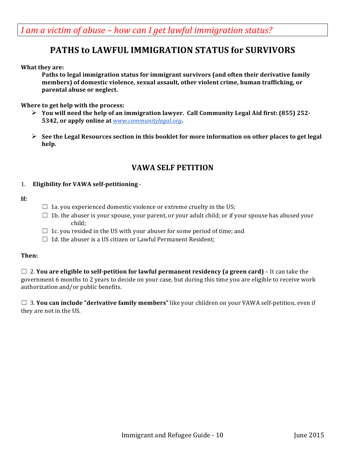<span id="page-9-0"></span>*I* am a victim of abuse – how can *I* get lawful immigration status?

### **PATHS to LAWFUL IMMIGRATION STATUS for SURVIVORS**

**What they are:** 

**Paths to legal immigration status for immigrant survivors (and often their derivative family members)** of domestic violence, sexual assault, other violent crime, human trafficking, or parental abuse or neglect.

**Where to get help with the process:** 

- $\triangleright$  You will need the help of an immigration lawyer. Call Community Legal Aid first: (855) 252-**5342, or apply online at** *www.communitylegal.org*.
- $\triangleright$  See the Legal Resources section in this booklet for more information on other places to get legal **help.**

#### **VAWA SELF PETITION**

#### 1. **Eligibility for VAWA self-petitioning** -

#### **If:**

- $\Box$  1a. you experienced domestic violence or extreme cruelty in the US;
- $\Box$  1b. the abuser is your spouse, your parent, or your adult child; or if your spouse has abused your child;
- $\Box$  1c. you resided in the US with your abuser for some period of time; and
- $\Box$  1d. the abuser is a US citizen or Lawful Permanent Resident;

#### **Then:**

 $\Box$  2. You are eligible to self-petition for lawful permanent residency (a green card) – It can take the government 6 months to 2 years to decide on your case, but during this time you are eligible to receive work authorization and/or public benefits.

 $\Box$  3. **You can include "derivative family members"** like your children on your VAWA self-petition, even if they are not in the US.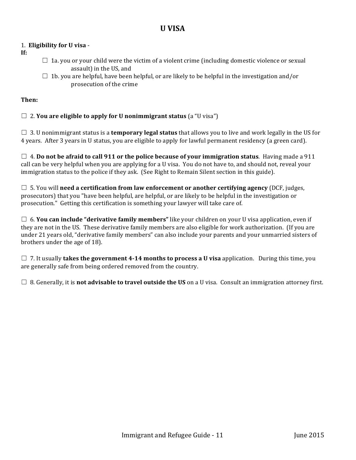#### **U VISA**

#### <span id="page-10-0"></span>1. **Eligibility for U visa** -

- **If:**
- $\Box$  1a. you or your child were the victim of a violent crime (including domestic violence or sexual assault) in the US, and
- $\Box$  1b. you are helpful, have been helpful, or are likely to be helpful in the investigation and/or prosecution of the crime

#### **Then:**

#### $\Box$  2. You are eligible to apply for U nonimmigrant status (a "U visa")

 $\Box$  3. U nonimmigrant status is a **temporary legal status** that allows you to live and work legally in the US for 4 years. After 3 years in U status, you are eligible to apply for lawful permanent residency (a green card).

 $\Box$  4. **Do not be afraid to call 911 or the police because of your immigration status**. Having made a 911 call can be very helpful when you are applying for a U visa. You do not have to, and should not, reveal your immigration status to the police if they ask. (See Right to Remain Silent section in this guide).

 $\Box$  5. You will **need a certification from law enforcement or another certifying agency** (DCF, judges, prosecutors) that you "have been helpful, are helpful, or are likely to be helpful in the investigation or prosecution." Getting this certification is something your lawyer will take care of.

 $\Box$  6. **You can include "derivative family members"** like your children on your U visa application, even if they are not in the US. These derivative family members are also eligible for work authorization. (If you are under 21 years old, "derivative family members" can also include your parents and your unmarried sisters of brothers under the age of 18).

□ 7. It usually **takes the government 4-14 months to process a U visa** application. During this time, you are generally safe from being ordered removed from the country.

 $\Box$  8. Generally, it is **not advisable to travel outside the US** on a U visa. Consult an immigration attorney first.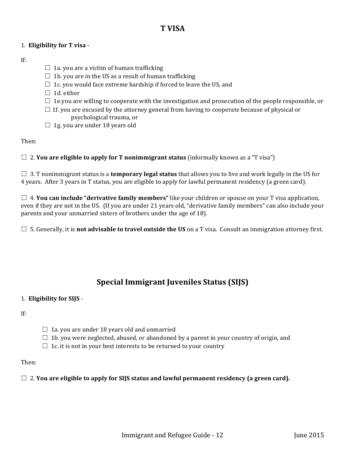#### **T VISA**

#### <span id="page-11-0"></span>1. **Eligibility for T visa** -

#### If:

- $\Box$  1a. you are a victim of human trafficking
- $\Box$  1b. you are in the US as a result of human trafficking
- $\Box$  1c. you would face extreme hardship if forced to leave the US, and
- $\Box$  1d. either
- $\Box$  1e.you are willing to cooperate with the investigation and prosecution of the people responsible, or
- $\Box$  1f. you are excused by the attorney general from having to cooperate because of physical or psychological trauma, or
- $\Box$  1g. you are under 18 years old

#### Then:

 $\Box$  2. **You are eligible to apply for T nonimmigrant status** (informally known as a "T visa")

 $\Box$  3. T nonimmigrant status is a **temporary legal status** that allows you to live and work legally in the US for 4 years. After 3 years in T status, you are eligible to apply for lawful permanent residency (a green card).

 $\Box$  4. **You can include "derivative family members"** like your children or spouse on your T visa application, even if they are not in the US. (If you are under 21 years old, "derivative family members" can also include your parents and your unmarried sisters of brothers under the age of 18).

 $\Box$  5. Generally, it is **not advisable to travel outside the US** on a T visa. Consult an immigration attorney first.

### **Special Immigrant Juveniles Status (SIJS)**

#### 1. **Eligibility for SIJS** -

If:

- $\Box$  1a. you are under 18 years old and unmarried
- $\Box$  1b. you were neglected, abused, or abandoned by a parent in your country of origin, and
- $\Box$  1c. it is not in your best interests to be returned to your country

#### Then:

#### $\Box$  2. You are eligible to apply for SIJS status and lawful permanent residency (a green card).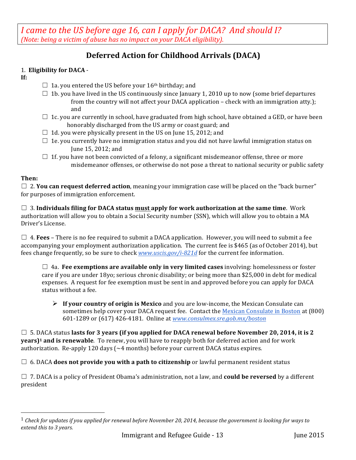<span id="page-12-0"></span>*I* came to the US before age 16, can I apply for DACA? And should I? *(Note: being a victim of abuse has no impact on your DACA eligibility).* 

### **Deferred Action for Childhood Arrivals (DACA)**

#### 1. **Eligibility for DACA** -

 

**If:**

- $\Box$  1a. you entered the US before your 16<sup>th</sup> birthday; and
- $\Box$  1b. you have lived in the US continuously since January 1, 2010 up to now (some brief departures from the country will not affect your DACA application – check with an immigration atty.); and
- $\Box$  1c. you are currently in school, have graduated from high school, have obtained a GED, or have been honorably discharged from the US army or coast guard; and
- $\Box$  1d. you were physically present in the US on June 15, 2012; and
- $\Box$  1e. you currently have no immigration status and you did not have lawful immigration status on June 15, 2012; and
- $\Box$  1f. you have not been convicted of a felony, a significant misdemeanor offense, three or more misdemeanor offenses, or otherwise do not pose a threat to national security or public safety

#### **Then:**

 $\Box$  2. **You can request deferred action**, meaning your immigration case will be placed on the "back burner" for purposes of immigration enforcement.

 $\Box$  3. Individuals filing for DACA status must apply for work authorization at the same time. Work authorization will allow you to obtain a Social Security number (SSN), which will allow you to obtain a MA Driver's License.

 $\Box$  4. **Fees** – There is no fee required to submit a DACA application. However, you will need to submit a fee accompanying your employment authorization application. The current fee is \$465 (as of October 2014), but fees change frequently, so be sure to check *www.uscis.gov/i-821d* for the current fee information.

 $\Box$  4a. **Fee exemptions are available only in very limited cases** involving: homelessness or foster care if you are under 18yo; serious chronic disability; or being more than \$25,000 in debt for medical expenses. A request for fee exemption must be sent in and approved before you can apply for DACA status without a fee.

 $\triangleright$  **If your country of origin is Mexico** and you are low-income, the Mexican Consulate can sometimes help cover your DACA request fee. Contact the Mexican Consulate in Boston at (800) 601-1289 or (617) 426-4181. Online at *www.consulmex.sre.gob.mx/boston*

 $\Box$  5. DACA status lasts for 3 years (if you applied for DACA renewal before November 20, 2014, it is 2 **years**)<sup>1</sup> **and is renewable**. To renew, you will have to reapply both for deferred action and for work authorization. Re-apply 120 days  $(\sim 4 \text{ months})$  before your current DACA status expires.

 $\Box$  6. DACA **does not provide you with a path to citizenship** or lawful permanent resident status

 $\Box$  7. DACA is a policy of President Obama's administration, not a law, and **could be reversed** by a different president

 $1$  Check for updates if you applied for renewal before November 20, 2014, because the government is looking for ways to *extend this to 3 years.*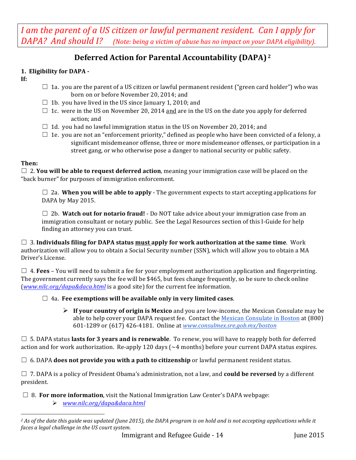<span id="page-13-0"></span>*I* am the parent of a US citizen or lawful permanent resident. Can I apply for *DAPA?* And should I? (Note: being a victim of abuse has no impact on your DAPA eligibility).

### **Deferred Action for Parental Accountability (DAPA) <sup>2</sup>**

#### 1. Eligibility for DAPA -

- **If:**
- $\Box$  1a. you are the parent of a US citizen or lawful permanent resident ("green card holder") who was born on or before November 20, 2014; and
- $\Box$  1b. you have lived in the US since January 1, 2010; and
- $\Box$  1c. were in the US on November 20, 2014 and are in the US on the date you apply for deferred action; and
- $\Box$  1d. you had no lawful immigration status in the US on November 20, 2014; and
- $\Box$  1e. you are not an "enforcement priority," defined as people who have been convicted of a felony, a significant misdemeanor offense, three or more misdemeanor offenses, or participation in a street gang, or who otherwise pose a danger to national security or public safety.

#### **Then:**

 $\Box$  2. **You will be able to request deferred action**, meaning your immigration case will be placed on the "back burner" for purposes of immigration enforcement.

 $\Box$  2a. When you will be able to apply - The government expects to start accepting applications for DAPA by May 2015.

 $\Box$  2b. Watch out for notario fraud! - Do NOT take advice about your immigration case from an immigration consultant or notary public. See the Legal Resources section of this I-Guide for help finding an attorney you can trust.

 $\Box$  3. Individuals filing for DAPA status must apply for work authorization at the same time. Work authorization will allow you to obtain a Social Security number (SSN), which will allow you to obtain a MA Driver's License.

 $\Box$  4. **Fees** – You will need to submit a fee for your employment authorization application and fingerprinting. The government currently says the fee will be \$465, but fees change frequently, so be sure to check online (*www.nilc.org/dapa&daca.html* is a good site) for the current fee information.

#### $\Box$  4a. Fee exemptions will be available only in very limited cases.

 $\triangleright$  **If your country of origin is Mexico** and you are low-income, the Mexican Consulate may be able to help cover your DAPA request fee. Contact the Mexican Consulate in Boston at (800) 601-1289 or (617) 426-4181. Online at *www.consulmex.sre.gob.mx/boston*

 $\Box$  5. DAPA status **lasts for 3 years and is renewable**. To renew, you will have to reapply both for deferred action and for work authorization. Re-apply 120 days  $\left(\sim 4 \text{ months}\right)$  before your current DAPA status expires.

 $\Box$  6. DAPA **does not provide you with a path to citizenship** or lawful permanent resident status.

□ 7. DAPA is a policy of President Obama's administration, not a law, and **could be reversed** by a different president.

 $\Box$  8. **For more information**, visit the National Immigration Law Center's DAPA webpage:

Ø *www.nilc.org/dapa&daca.html*

 <sup>2</sup> As of the date this guide was updated (June 2015), the DAPA program is on hold and is not accepting applications while it *faces a legal challenge in the US court system.*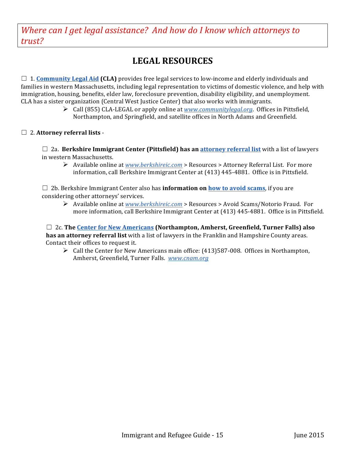<span id="page-14-0"></span>Where can I get legal assistance? And how do I know which attorneys to *trust?*

# **LEGAL RESOURCES**

 $\Box$  1. **Community Legal Aid (CLA)** provides free legal services to low-income and elderly individuals and families in western Massachusetts, including legal representation to victims of domestic violence, and help with immigration, housing, benefits, elder law, foreclosure prevention, disability eligibility, and unemployment. CLA has a sister organization (Central West Justice Center) that also works with immigrants.

> **►** Call (855) CLA-LEGAL or apply online at *www.communitylegal.org*. Offices in Pittsfield, Northampton, and Springfield, and satellite offices in North Adams and Greenfield.

#### □ 2. Attorney referral lists -

 $\Box$  2a. **Berkshire Immigrant Center (Pittsfield) has an attorney referral list** with a list of lawyers in western Massachusetts.

**E** Available online at *www.berkshireic.com* > Resources > Attorney Referral List. For more information, call Berkshire Immigrant Center at (413) 445-4881. Office is in Pittsfield.

 $\Box$  2b. Berkshire Immigrant Center also has **information on how to avoid scams**, if you are considering other attorneys' services.

**►** Available online at *www.berkshireic.com* > Resources > Avoid Scams/Notorio Fraud. For more information, call Berkshire Immigrant Center at (413) 445-4881. Office is in Pittsfield.

□ 2c. The <u>Center for New Americans</u> (Northampton, Amherst, Greenfield, Turner Falls) also **has an attorney referral list** with a list of lawyers in the Franklin and Hampshire County areas. Contact their offices to request it.

 $\triangleright$  Call the Center for New Americans main office: (413)587-008. Offices in Northampton, Amherst, Greenfield, Turner Falls. *www.cnam.org*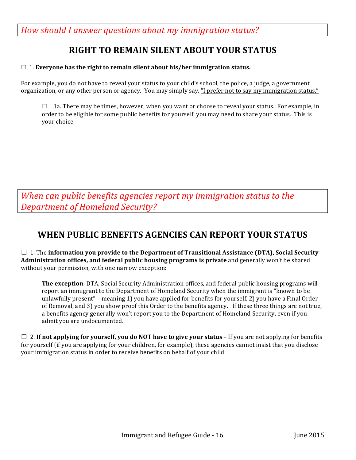<span id="page-15-0"></span>How should I answer questions about my immigration status?

## **RIGHT TO REMAIN SILENT ABOUT YOUR STATUS**

#### $\Box$  1. Everyone has the right to remain silent about his/her immigration status.

For example, you do not have to reveal your status to your child's school, the police, a judge, a government organization, or any other person or agency. You may simply say, "I prefer not to say my immigration status."

 $\Box$  1a. There may be times, however, when you want or choose to reveal your status. For example, in order to be eligible for some public benefits for yourself, you may need to share your status. This is your choice.

*When can public benefits agencies report my immigration status to the Department of Homeland Security?*

### **WHEN PUBLIC BENEFITS AGENCIES CAN REPORT YOUR STATUS**

 $\Box$  1. The information you provide to the Department of Transitional Assistance (DTA), Social Security **Administration offices, and federal public housing programs is private** and generally won't be shared without your permission, with one narrow exception:

**The exception**: DTA, Social Security Administration offices, and federal public housing programs will report an immigrant to the Department of Homeland Security when the immigrant is "known to be unlawfully present" – meaning 1) you have applied for benefits for yourself, 2) you have a Final Order of Removal, and 3) you show proof this Order to the benefits agency. If these three things are not true, a benefits agency generally won't report you to the Department of Homeland Security, even if you admit you are undocumented.

 $\Box$  2. **If not applying for yourself, you do NOT have to give your status** – If you are not applying for benefits for yourself (if you are applying for your children, for example), these agencies cannot insist that you disclose your immigration status in order to receive benefits on behalf of your child.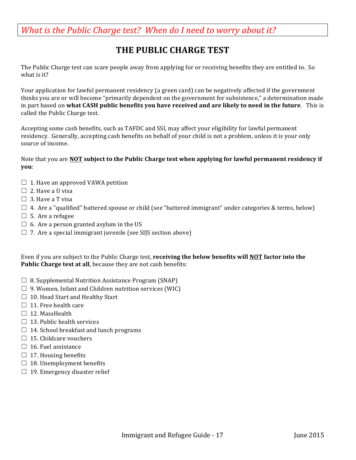<span id="page-16-0"></span>*What is the Public Charge test? When do I need to worry about it?* 

# **THE PUBLIC CHARGE TEST**

The Public Charge test can scare people away from applying for or receiving benefits they are entitled to. So what is it?

Your application for lawful permanent residency (a green card) can be negatively affected if the government thinks you are or will become "primarily dependent on the government for subsistence," a determination made in part based on what CASH public benefits you have received and are likely to need in the future. This is called the Public Charge test.

Accepting some cash benefits, such as TAFDC and SSI, may affect your eligibility for lawful permanent residency. Generally, accepting cash benefits on behalf of your child is not a problem, unless it is your only source of income.

#### Note that you are **NOT** subject to the Public Charge test when applying for lawful permanent residency if **you**:

- $\Box$  1. Have an approved VAWA petition
- $\Box$  2. Have a U visa
- $\Box$  3. Have a T visa
- $\Box$  4. Are a "qualified" battered spouse or child (see "battered immigrant" under categories & terms, below)
- $\Box$  5. Are a refugee
- $\Box$  6. Are a person granted asylum in the US
- $\Box$  7. Are a special immigrant juvenile (see SIJS section above)

Even if you are subject to the Public Charge test, **receiving the below benefits will NOT** factor into the **Public Charge test at all**, because they are not cash benefits:

- $\Box$  8. Supplemental Nutrition Assistance Program (SNAP)
- $\Box$  9. Women, Infant and Children nutrition services (WIC)
- $\Box$  10. Head Start and Healthy Start
- $\Box$  11. Free health care
- $\Box$  12. MassHealth
- $\Box$  13. Public health services
- $\Box$  14. School breakfast and lunch programs
- $\Box$  15. Childcare vouchers
- $\Box$  16. Fuel assistance
- $\Box$  17. Housing benefits
- $\Box$  18. Unemployment benefits
- $\Box$  19. Emergency disaster relief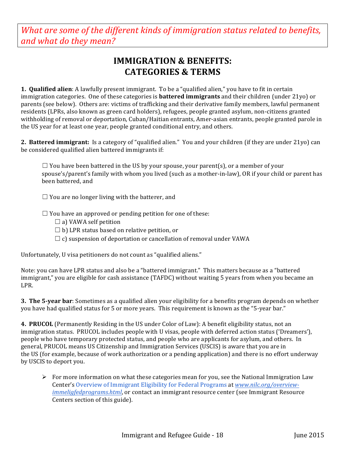<span id="page-17-0"></span>*What are some of the different kinds of immigration status related to benefits, and what do they mean?*

## **IMMIGRATION & BENEFITS: CATEGORIES & TERMS**

**1. Qualified alien**: A lawfully present immigrant. To be a "qualified alien," you have to fit in certain immigration categories. One of these categories is **battered immigrants** and their children (under 21yo) or parents (see below). Others are: victims of trafficking and their derivative family members, lawful permanent residents (LPRs, also known as green card holders), refugees, people granted asylum, non-citizens granted withholding of removal or deportation, Cuban/Haitian entrants, Amer-asian entrants, people granted parole in the US year for at least one year, people granted conditional entry, and others.

**2.** Battered immigrant: Is a category of "qualified alien." You and your children (if they are under 21yo) can be considered qualified alien battered immigrants if:

 $\Box$  You have been battered in the US by your spouse, your parent(s), or a member of your spouse's/parent's family with whom you lived (such as a mother-in-law), OR if your child or parent has been battered, and

 $\Box$  You are no longer living with the batterer, and

 $\Box$  You have an approved or pending petition for one of these:

- $\Box$  a) VAWA self petition
- $\Box$  b) LPR status based on relative petition, or
- $\Box$  c) suspension of deportation or cancellation of removal under VAWA

Unfortunately, U visa petitioners do not count as "qualified aliens."

Note: you can have LPR status and also be a "battered immigrant." This matters because as a "battered immigrant," you are eligible for cash assistance (TAFDC) without waiting 5 years from when you became an LPR. 

**3. The 5-year bar**: Sometimes as a qualified alien your eligibility for a benefits program depends on whether you have had qualified status for 5 or more years. This requirement is known as the "5-year bar."

**4. PRUCOL** (Permanently Residing in the US under Color of Law): A benefit eligibility status, not an immigration status. PRUCOL includes people with U visas, people with deferred action status ('Dreamers'), people who have temporary protected status, and people who are applicants for asylum, and others. In general, PRUCOL means US Citizenship and Immigration Services (USCIS) is aware that you are in the US (for example, because of work authorization or a pending application) and there is no effort underway by USCIS to deport you.

 $\triangleright$  For more information on what these categories mean for you, see the National Immigration Law Center's Overview of Immigrant Eligibility for Federal Programs at *www.nilc.org/overviewimmeligfedprograms.html*, or contact an immigrant resource center (see Immigrant Resource Centers section of this guide).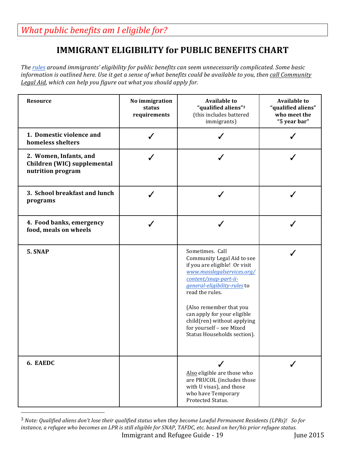# **IMMIGRANT ELIGIBILITY for PUBLIC BENEFITS CHART**

<span id="page-18-0"></span>*The rules* around *immigrants' eligibility for public benefits can seem unnecessarily complicated. Some basic information is outlined here. Use it get a sense of what benefits could be available to you, then call Community* Legal Aid, which can help you figure out what you should apply for.

| <b>Resource</b>                                                            | No immigration<br>status<br>requirements | <b>Available to</b><br>"qualified aliens"3<br>(this includes battered<br>immigrants)                                                                                                                                                                                                                                                         | <b>Available to</b><br>"qualified aliens"<br>who meet the<br>"5 year bar" |
|----------------------------------------------------------------------------|------------------------------------------|----------------------------------------------------------------------------------------------------------------------------------------------------------------------------------------------------------------------------------------------------------------------------------------------------------------------------------------------|---------------------------------------------------------------------------|
| 1. Domestic violence and<br>homeless shelters                              |                                          |                                                                                                                                                                                                                                                                                                                                              |                                                                           |
| 2. Women, Infants, and<br>Children (WIC) supplemental<br>nutrition program |                                          |                                                                                                                                                                                                                                                                                                                                              |                                                                           |
| 3. School breakfast and lunch<br>programs                                  |                                          |                                                                                                                                                                                                                                                                                                                                              |                                                                           |
| 4. Food banks, emergency<br>food, meals on wheels                          |                                          |                                                                                                                                                                                                                                                                                                                                              |                                                                           |
| 5. SNAP                                                                    |                                          | Sometimes. Call<br>Community Legal Aid to see<br>if you are eligible! Or visit<br>www.masslegalservices.org/<br>content/snap-part-ii-<br>general-eligibility-rules to<br>read the rules.<br>(Also remember that you<br>can apply for your eligible<br>child(ren) without applying<br>for yourself - see Mixed<br>Status Households section). |                                                                           |
| 6. EAEDC                                                                   |                                          | Also eligible are those who<br>are PRUCOL (includes those<br>with U visas), and those<br>who have Temporary<br>Protected Status.                                                                                                                                                                                                             |                                                                           |

Immigrant and Refugee Guide - 19 June 2015 <sup>3</sup> Note: Qualified aliens don't lose their qualified status when they become Lawful Permanent Residents (LPRs)! So for instance, a refugee who becomes an LPR is still eligible for SNAP, TAFDC, etc. based on her/his prior refugee status.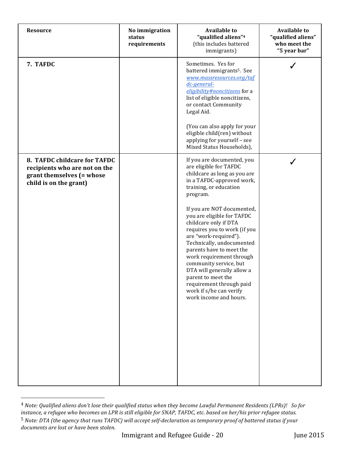| <b>Resource</b>                                                                                                      | No immigration<br>status<br>requirements | <b>Available to</b><br>"qualified aliens" <sup>4</sup><br>(this includes battered<br>immigrants)                                                                                                                                                                                                                                                                                                                                                                                                                                                          | <b>Available to</b><br>"qualified aliens"<br>who meet the<br>"5 year bar" |
|----------------------------------------------------------------------------------------------------------------------|------------------------------------------|-----------------------------------------------------------------------------------------------------------------------------------------------------------------------------------------------------------------------------------------------------------------------------------------------------------------------------------------------------------------------------------------------------------------------------------------------------------------------------------------------------------------------------------------------------------|---------------------------------------------------------------------------|
| 7. TAFDC                                                                                                             |                                          | Sometimes. Yes for<br>battered immigrants <sup>5</sup> . See<br>www.massresources.org/taf<br>$dc$ -general-<br>eligibility#noncitizens for a<br>list of eligible noncitizens,<br>or contact Community<br>Legal Aid.<br>(You can also apply for your<br>eligible child(ren) without<br>applying for yourself - see<br>Mixed Status Households),                                                                                                                                                                                                            |                                                                           |
| 8. TAFDC childcare for TAFDC<br>recipients who are not on the<br>grant themselves (= whose<br>child is on the grant) |                                          | If you are documented, you<br>are eligible for TAFDC<br>childcare as long as you are<br>in a TAFDC-approved work,<br>training, or education<br>program.<br>If you are NOT documented,<br>you are eligible for TAFDC<br>childcare only if DTA<br>requires you to work (if you<br>are "work-required").<br>Technically, undocumented<br>parents have to meet the<br>work requirement through<br>community service, but<br>DTA will generally allow a<br>parent to meet the<br>requirement through paid<br>work if s/he can verify<br>work income and hours. |                                                                           |

<sup>&</sup>lt;sup>4</sup> Note: Qualified aliens don't lose their qualified status when they become Lawful Permanent Residents (LPRs)! So for *instance, a refugee who becomes an LPR is still eligible for SNAP, TAFDC, etc. based on her/his prior refugee status.* <sup>5</sup> Note: DTA (the agency that runs TAFDC) will accept self-declaration as temporary proof of battered status if your documents are lost or have been stolen.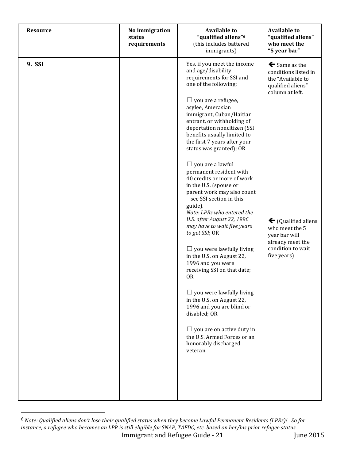| <b>Resource</b> | No immigration<br>status<br>requirements | <b>Available to</b><br>"qualified aliens" <sup>6</sup><br>(this includes battered<br>immigrants)                                                                                                                                                                                                                                                                                                                                                                                                                                                                                                                                                                                                                                                                                                                                                                                                                                                                                           | <b>Available to</b><br>"qualified aliens"<br>who meet the<br>"5 year bar"                                                                                                                                                                        |
|-----------------|------------------------------------------|--------------------------------------------------------------------------------------------------------------------------------------------------------------------------------------------------------------------------------------------------------------------------------------------------------------------------------------------------------------------------------------------------------------------------------------------------------------------------------------------------------------------------------------------------------------------------------------------------------------------------------------------------------------------------------------------------------------------------------------------------------------------------------------------------------------------------------------------------------------------------------------------------------------------------------------------------------------------------------------------|--------------------------------------------------------------------------------------------------------------------------------------------------------------------------------------------------------------------------------------------------|
| 9. SSI          |                                          | Yes, if you meet the income<br>and age/disability<br>requirements for SSI and<br>one of the following:<br>$\Box$ you are a refugee,<br>asylee, Amerasian<br>immigrant, Cuban/Haitian<br>entrant, or withholding of<br>deportation noncitizen (SSI<br>benefits usually limited to<br>the first 7 years after your<br>status was granted); OR<br>$\Box$ you are a lawful<br>permanent resident with<br>40 credits or more of work<br>in the U.S. (spouse or<br>parent work may also count<br>- see SSI section in this<br>guide).<br>Note: LPRs who entered the<br>U.S. after August 22, 1996<br>may have to wait five years<br>to get SSI; OR<br>$\Box$ you were lawfully living<br>in the U.S. on August 22,<br>1996 and you were<br>receiving SSI on that date;<br>0R<br>$\Box$ you were lawfully living<br>in the U.S. on August 22,<br>1996 and you are blind or<br>disabled; OR<br>$\Box$ you are on active duty in<br>the U.S. Armed Forces or an<br>honorably discharged<br>veteran. | $\blacklozenge$ Same as the<br>conditions listed in<br>the "Available to<br>qualified aliens"<br>column at left.<br>$\blacklozenge$ (Qualified aliens<br>who meet the 5<br>year bar will<br>already meet the<br>condition to wait<br>five years) |

Immigrant and Refugee Guide - 21 June 2015 <sup>6</sup> Note: Qualified aliens don't lose their qualified status when they become Lawful Permanent Residents (LPRs)! So for *instance, a refugee who becomes an LPR* is still eligible for SNAP, TAFDC, etc. based on her/his prior refugee status.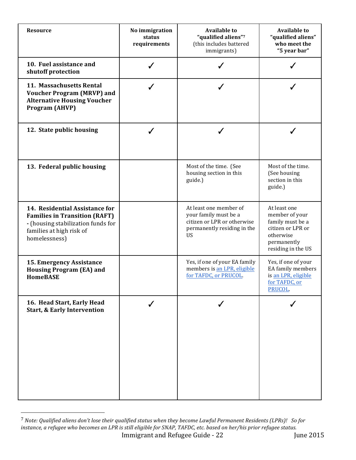| <b>Resource</b>                                                                                                                                           | No immigration<br>status<br>requirements | <b>Available to</b><br>"qualified aliens"7<br>(this includes battered<br>immigrants)                                       | <b>Available to</b><br>"qualified aliens"<br>who meet the<br>"5 year bar"                                                 |
|-----------------------------------------------------------------------------------------------------------------------------------------------------------|------------------------------------------|----------------------------------------------------------------------------------------------------------------------------|---------------------------------------------------------------------------------------------------------------------------|
| 10. Fuel assistance and<br>shutoff protection                                                                                                             | ✓                                        |                                                                                                                            |                                                                                                                           |
| 11. Massachusetts Rental<br><b>Voucher Program (MRVP) and</b><br><b>Alternative Housing Voucher</b><br>Program (AHVP)                                     | J                                        |                                                                                                                            |                                                                                                                           |
| 12. State public housing                                                                                                                                  |                                          |                                                                                                                            |                                                                                                                           |
| 13. Federal public housing                                                                                                                                |                                          | Most of the time. (See<br>housing section in this<br>guide.)                                                               | Most of the time.<br>(See housing<br>section in this<br>guide.)                                                           |
| 14. Residential Assistance for<br><b>Families in Transition (RAFT)</b><br>- (housing stabilization funds for<br>families at high risk of<br>homelessness) |                                          | At least one member of<br>your family must be a<br>citizen or LPR or otherwise<br>permanently residing in the<br><b>US</b> | At least one<br>member of your<br>family must be a<br>citizen or LPR or<br>otherwise<br>permanently<br>residing in the US |
| 15. Emergency Assistance<br><b>Housing Program (EA) and</b><br><b>HomeBASE</b>                                                                            |                                          | Yes, if one of your EA family<br>members is an LPR, eligible<br>for TAFDC, or PRUCOL.                                      | Yes, if one of your<br>EA family members<br>is an LPR, eligible<br>for TAFDC, or<br>PRUCOL.                               |
| 16. Head Start, Early Head<br><b>Start, &amp; Early Intervention</b>                                                                                      |                                          |                                                                                                                            |                                                                                                                           |

Immigrant and Refugee Guide - 22 June 2015  $^7$  Note: Qualified aliens don't lose their qualified status when they become Lawful Permanent Residents (LPRs)! So for *instance, a refugee who becomes an LPR* is still eligible for SNAP, TAFDC, etc. based on her/his prior refugee status.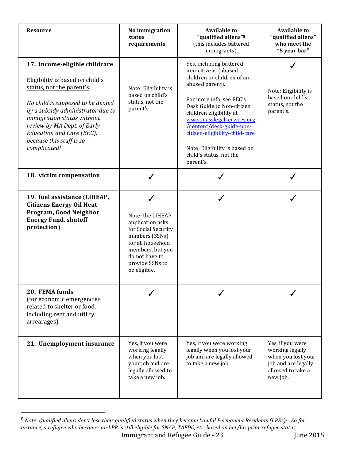| <b>Resource</b>                                                                                                                                                                                                                                                                                               | No immigration<br>status<br>requirements                                                                                                                                         | <b>Available to</b><br>"qualified aliens" <sup>8</sup><br>(this includes battered<br>immigrants)                                                                                                                                                                                                                                                         | <b>Available to</b><br>"qualified aliens"<br>who meet the<br>"5 year bar"                                         |
|---------------------------------------------------------------------------------------------------------------------------------------------------------------------------------------------------------------------------------------------------------------------------------------------------------------|----------------------------------------------------------------------------------------------------------------------------------------------------------------------------------|----------------------------------------------------------------------------------------------------------------------------------------------------------------------------------------------------------------------------------------------------------------------------------------------------------------------------------------------------------|-------------------------------------------------------------------------------------------------------------------|
| 17. Income-eligible childcare<br>Eligibility is based on child's<br>status, not the parent's.<br>No child is supposed to be denied<br>by a subsidy administrator due to<br>immigration status without<br>review by MA Dept. of Early<br>Education and Care (EEC),<br>because this stuff is so<br>complicated! | Note: Eligibility is<br>based on child's<br>status, not the<br>parent's.                                                                                                         | Yes, including battered<br>non-citizens (abused<br>children or children of an<br>abused parent).<br>For more info, see EEC's<br>Desk Guide to Non-citizen<br>children eligibility at<br>www.masslegalservices.org<br>/content/desk-guide-non-<br>citizen-eligibility-child-care<br>Note: Eligibility is based on<br>child's status, not the<br>parent's. | Note: Eligibility is<br>based on child's<br>status, not the<br>parent's.                                          |
| 18. victim compensation                                                                                                                                                                                                                                                                                       | ✓                                                                                                                                                                                |                                                                                                                                                                                                                                                                                                                                                          |                                                                                                                   |
| 19. fuel assistance (LIHEAP,<br><b>Citizens Energy Oil Heat</b><br>Program, Good Neighbor<br><b>Energy Fund, shutoff</b><br>protection)                                                                                                                                                                       | ✔<br>Note: the LIHEAP<br>application asks<br>for Social Security<br>numbers (SSNs)<br>for all household<br>members, but you<br>do not have to<br>provide SSNs to<br>be eligible. | ℐ                                                                                                                                                                                                                                                                                                                                                        |                                                                                                                   |
| 20. FEMA funds<br>(for economic emergencies<br>related to shelter or food,<br>including rent and utility<br>arrearages)                                                                                                                                                                                       |                                                                                                                                                                                  |                                                                                                                                                                                                                                                                                                                                                          |                                                                                                                   |
| 21. Unemployment insurance                                                                                                                                                                                                                                                                                    | Yes, if you were<br>working legally<br>when you lost<br>your job and are<br>legally allowed to<br>take a new job.                                                                | Yes, if you were working<br>legally when you lost your<br>job and are legally allowed<br>to take a new job.                                                                                                                                                                                                                                              | Yes, if you were<br>working legally<br>when you lost your<br>job and are legally<br>allowed to take a<br>new job. |

Immigrant and Refugee Guide - 23 June 2015  $^8$  Note: Qualified aliens don't lose their qualified status when they become Lawful Permanent Residents (LPRs)!  $\,$  So for *instance, a refugee who becomes an LPR* is still eligible for SNAP, TAFDC, etc. based on her/his prior refugee status.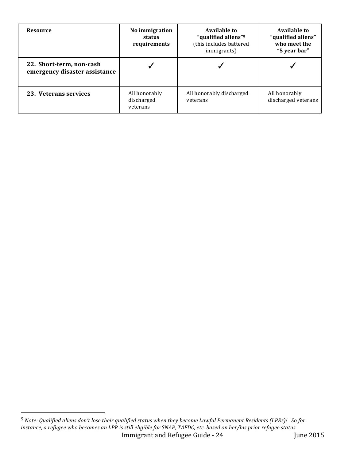| <b>Resource</b>                                           | No immigration<br>status<br>requirements | Available to<br>"qualified aliens" <sup>9</sup><br>(this includes battered<br>immigrants) | Available to<br>"qualified aliens"<br>who meet the<br>"5 year bar" |
|-----------------------------------------------------------|------------------------------------------|-------------------------------------------------------------------------------------------|--------------------------------------------------------------------|
| 22. Short-term, non-cash<br>emergency disaster assistance |                                          |                                                                                           |                                                                    |
| 23. Veterans services                                     | All honorably<br>discharged<br>veterans  | All honorably discharged<br>veterans                                                      | All honorably<br>discharged veterans                               |

Immigrant and Refugee Guide - 24 June 2015  $^9$  Note: Qualified aliens don't lose their qualified status when they become Lawful Permanent Residents (LPRs)!  $\,$  So for *instance, a refugee who becomes an LPR* is still eligible for SNAP, TAFDC, etc. based on her/his prior refugee status.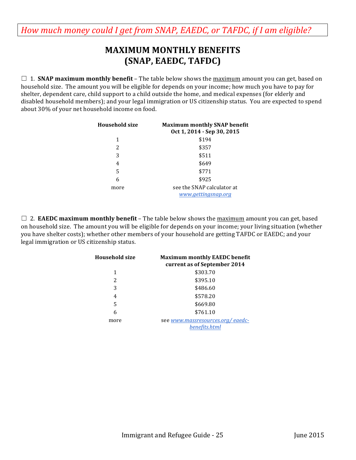# **MAXIMUM MONTHLY BENEFITS (SNAP, EAEDC, TAFDC)**

<span id="page-24-0"></span> $\Box$  1. **SNAP maximum monthly benefit** – The table below shows the maximum amount you can get, based on household size. The amount you will be eligible for depends on your income; how much you have to pay for shelter, dependent care, child support to a child outside the home, and medical expenses (for elderly and disabled household members); and your legal immigration or US citizenship status. You are expected to spend about 30% of your net household income on food.

| Household size | <b>Maximum monthly SNAP benefit</b><br>Oct 1, 2014 - Sep 30, 2015 |
|----------------|-------------------------------------------------------------------|
| 1              | \$194                                                             |
| 2              | \$357                                                             |
| 3              | \$511                                                             |
| 4              | \$649                                                             |
| 5              | \$771                                                             |
| 6              | \$925                                                             |
| more           | see the SNAP calculator at<br>www.gettingsnap.org                 |

 $\Box$  2. **EAEDC maximum monthly benefit** – The table below shows the maximum amount you can get, based on household size. The amount you will be eligible for depends on your income; your living situation (whether you have shelter costs); whether other members of your household are getting TAFDC or EAEDC; and your legal immigration or US citizenship status.

| <b>Household size</b> | <b>Maximum monthly EAEDC benefit</b><br>current as of September 2014 |
|-----------------------|----------------------------------------------------------------------|
| 1                     | \$303.70                                                             |
| 2                     | \$395.10                                                             |
| 3                     | \$486.60                                                             |
| 4                     | \$578.20                                                             |
| 5                     | \$669.80                                                             |
| 6                     | \$761.10                                                             |
| more                  | see www.massresources.org/eaedc-<br>benefits.html                    |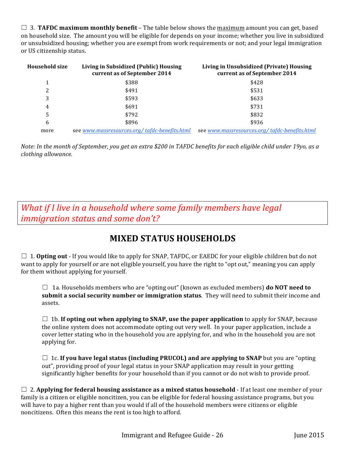<span id="page-25-0"></span> $\Box$  3. **TAFDC maximum monthly benefit** – The table below shows the maximum amount you can get, based on household size. The amount you will be eligible for depends on your income; whether you live in subsidized or unsubsidized housing; whether you are exempt from work requirements or not; and your legal immigration or US citizenship status.

| <b>Household size</b> | Living in Subsidized (Public) Housing<br>current as of September 2014 | Living in Unsubsidized (Private) Housing<br>current as of September 2014 |
|-----------------------|-----------------------------------------------------------------------|--------------------------------------------------------------------------|
| 1                     | \$388                                                                 | \$428                                                                    |
| 2                     | \$491                                                                 | \$531                                                                    |
| 3                     | \$593                                                                 | \$633                                                                    |
| 4                     | \$691                                                                 | \$731                                                                    |
| 5                     | \$792                                                                 | \$832                                                                    |
| 6                     | \$896                                                                 | \$936                                                                    |
| more                  | see www.massresources.org/tafdc-benefits.html                         | see www.massresources.org/tafdc-benefits.html                            |

*Note:* In the month of September, you get an extra \$200 in TAFDC benefits for each eligible child under 19yo, as a *clothing allowance.*

*What if I live in a household where some family members have legal immigration status and some don't?* 

# **MIXED STATUS HOUSEHOLDS**

 $\Box$  1. **Opting out** - If you would like to apply for SNAP, TAFDC, or EAEDC for your eligible children but do not want to apply for yourself or are not eligible yourself, you have the right to "opt out," meaning you can apply for them without applying for yourself.

 $\Box$  1a. Households members who are "opting out" (known as excluded members) **do NOT need to submit a social security number or immigration status**. They will need to submit their income and assets. 

 $\Box$  1b. If opting out when applying to SNAP, use the paper application to apply for SNAP, because the online system does not accommodate opting out very well. In your paper application, include a cover letter stating who in the household you are applying for, and who in the household you are not applying for.

 $\Box$  1c. If you have legal status (including PRUCOL) and are applying to SNAP but you are "opting out", providing proof of your legal status in your SNAP application may result in your getting significantly higher benefits for your household than if you cannot or do not wish to provide proof.

 $\Box$  2. Applying for federal housing assistance as a mixed status household - If at least one member of your family is a citizen or eligible noncitizen, you can be eligible for federal housing assistance programs, but you will have to pay a higher rent than you would if all of the household members were citizens or eligible noncitizens. Often this means the rent is too high to afford.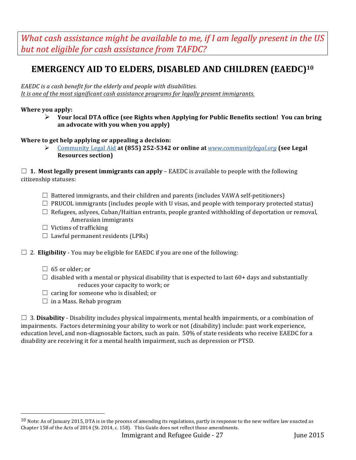<span id="page-26-0"></span>*What cash assistance might be available to me, if I am legally present in the US* but not eligible for cash assistance from TAFDC?

# EMERGENCY AID TO ELDERS, DISABLED AND CHILDREN (EAEDC)<sup>10</sup>

EAEDC is a cash benefit for the elderly and people with disabilities. *It is one of the most significant cash assistance programs for legally present immigrants.* 

#### **Where you apply:**

 $\triangleright$  Your local DTA office (see Rights when Applying for Public Benefits section! You can bring an advocate with you when you apply)

#### **Where to get help applying or appealing a decision:**

 $\triangleright$  Community Legal Aid at (855) 252-5342 or online at *www.communitylegal.org* (see Legal **Resources section)**

 $\Box$  **1. Most legally present immigrants can apply** – EAEDC is available to people with the following citizenship statuses:

- $\Box$  Battered immigrants, and their children and parents (includes VAWA self-petitioners)
- $\Box$  PRUCOL immigrants (includes people with U visas, and people with temporary protected status)
- $\Box$  Refugees, aslyees, Cuban/Haitian entrants, people granted withholding of deportation or removal, Amerasian immigrants
- $\Box$  Victims of trafficking
- $\Box$  Lawful permanent residents (LPRs)

#### $\Box$  2. **Eligibility** - You may be eligible for EAEDC if you are one of the following:

 $\Box$  65 or older; or

 

- $\Box$  disabled with a mental or physical disability that is expected to last 60+ days and substantially reduces your capacity to work; or
- $\Box$  caring for someone who is disabled; or
- $\Box$  in a Mass. Rehab program

 $\Box$  3. **Disability** - Disability includes physical impairments, mental health impairments, or a combination of impairments. Factors determining your ability to work or not (disability) include: past work experience, education level, and non-diagnosable factors, such as pain. 50% of state residents who receive EAEDC for a disability are receiving it for a mental health impairment, such as depression or PTSD.

 $10$  Note: As of January 2015, DTA is in the process of amending its regulations, partly in response to the new welfare law enacted as Chapter 158 of the Acts of 2014 (St. 2014, c. 158). This Guide does not reflect those amendments.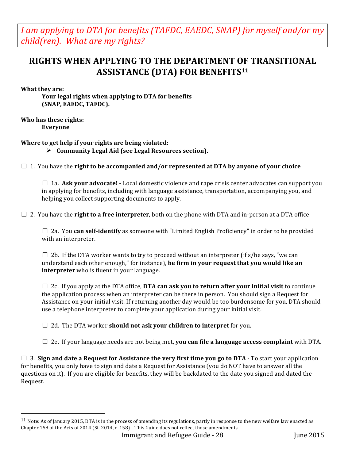<span id="page-27-0"></span>*I* am applying to DTA for benefits (TAFDC, EAEDC, SNAP) for myself and/or my *child(ren).* What are my rights?

### **RIGHTS WHEN APPLYING TO THE DEPARTMENT OF TRANSITIONAL ASSISTANCE (DTA) FOR BENEFITS<sup>11</sup>**

#### **What they are:**

Your legal rights when applying to DTA for benefits **(SNAP, EAEDC, TAFDC).** 

#### **Who has these rights: Everyone**

 

#### **Where to get help if your rights are being violated:**

Ø **Community Legal Aid (see Legal Resources section).**

 $\Box$  1. You have the **right to be accompanied and/or represented at DTA by anyone of your choice** 

 $\Box$  1a. **Ask your advocate!** - Local domestic violence and rape crisis center advocates can support you in applying for benefits, including with language assistance, transportation, accompanying you, and helping you collect supporting documents to apply.

 $\Box$  2. You have the **right to a free interpreter**, both on the phone with DTA and in-person at a DTA office

 $\Box$  2a. You **can self-identify** as someone with "Limited English Proficiency" in order to be provided with an interpreter.

 $\Box$  2b. If the DTA worker wants to try to proceed without an interpreter (if s/he says, "we can understand each other enough," for instance), **be firm in your request that you would like an interpreter** who is fluent in your language.

□ 2c. If you apply at the DTA office, DTA can ask you to return after your initial visit to continue the application process when an interpreter can be there in person. You should sign a Request for Assistance on your initial visit. If returning another day would be too burdensome for you, DTA should use a telephone interpreter to complete your application during your initial visit.

□ 2d. The DTA worker **should not ask your children to interpret** for you.

 $\Box$  2e. If your language needs are not being met, **you can file a language access complaint** with DTA.

 $\Box$  3. Sign and date a Request for Assistance the very first time you go to DTA - To start your application for benefits, you only have to sign and date a Request for Assistance (you do NOT have to answer all the questions on it). If you are eligible for benefits, they will be backdated to the date you signed and dated the Request.

 $11$  Note: As of January 2015, DTA is in the process of amending its regulations, partly in response to the new welfare law enacted as Chapter 158 of the Acts of 2014 (St. 2014, c. 158). This Guide does not reflect those amendments.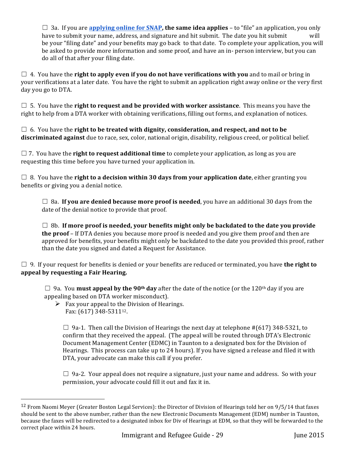$\Box$  3a. If you are **applying online for SNAP, the same idea applies** – to "file" an application, you only have to submit your name, address, and signature and hit submit. The date you hit submit will be your "filing date" and your benefits may go back to that date. To complete your application, you will be asked to provide more information and some proof, and have an in- person interview, but you can do all of that after your filing date.

 $\Box$  4. You have the **right to apply even if you do not have verifications with you** and to mail or bring in your verifications at a later date. You have the right to submit an application right away online or the very first day you go to DTA.

 $\Box$  5. You have the **right to request and be provided with worker assistance**. This means you have the right to help from a DTA worker with obtaining verifications, filling out forms, and explanation of notices.

 $\Box$  6. You have the **right to be treated with dignity, consideration, and respect, and not to be discriminated against** due to race, sex, color, national origin, disability, religious creed, or political belief.

 $\Box$  7. You have the **right to request additional time** to complete your application, as long as you are requesting this time before you have turned your application in.

 $\Box$  8. You have the **right to a decision within 30 days from your application date**, either granting you benefits or giving you a denial notice.

 $\Box$  8a. If you are denied because more proof is needed, you have an additional 30 days from the date of the denial notice to provide that proof.

 $\Box$  8b. If more proof is needed, your benefits might only be backdated to the date you provide **the proof** – If DTA denies you because more proof is needed and you give them proof and then are approved for benefits, your benefits might only be backdated to the date you provided this proof, rather than the date you signed and dated a Request for Assistance.

 $\Box$  9. If your request for benefits is denied or your benefits are reduced or terminated, you have **the right to** appeal by requesting a Fair Hearing.

□ 9a. You **must appeal by the 90<sup>th</sup> day** after the date of the notice (or the 120<sup>th</sup> day if you are appealing based on DTA worker misconduct).

 $\triangleright$  Fax your appeal to the Division of Hearings. Fax: (617) 348-5311<sup>12</sup>.

 

 $\Box$  9a-1. Then call the Division of Hearings the next day at telephone #(617) 348-5321, to confirm that they received the appeal. (The appeal will be routed through DTA's Electronic Document Management Center (EDMC) in Taunton to a designated box for the Division of Hearings. This process can take up to 24 hours). If you have signed a release and filed it with DTA, your advocate can make this call if you prefer.

 $\Box$  9a-2. Your appeal does not require a signature, just your name and address. So with your permission, your advocate could fill it out and fax it in.

 $12$  From Naomi Meyer (Greater Boston Legal Services): the Director of Division of Hearings told her on 9/5/14 that faxes should be sent to the above number, rather than the new Electronic Documents Management (EDM) number in Taunton, because the faxes will be redirected to a designated inbox for Div of Hearings at EDM, so that they will be forwarded to the correct place within 24 hours.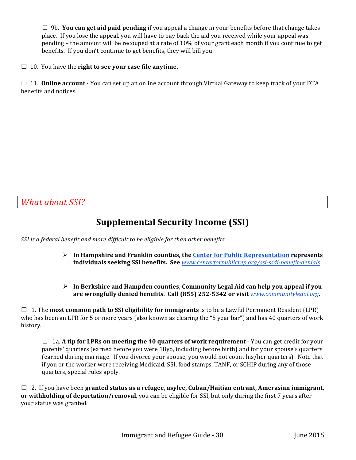<span id="page-29-0"></span> $\Box$  9b. **You can get aid paid pending** if you appeal a change in your benefits **before** that change takes place. If you lose the appeal, you will have to pay back the aid you received while your appeal was pending – the amount will be recouped at a rate of 10% of your grant each month if you continue to get benefits. If you don't continue to get benefits, they will bill you.

□ 10. You have the **right to see your case file anytime.** 

□ 11. **Online account** - You can set up an online account through Virtual Gateway to keep track of your DTA benefits and notices.

*What about SSI?* 

# **Supplemental Security Income (SSI)**

*SSI* is a federal benefit and more difficult to be eligible for than other benefits.

- $\triangleright$  In Hampshire and Franklin counties, the Center for Public Representation represents **individuals seeking SSI benefits. See** *www.centerforpublicrep.org/ssi-ssdi-benefit-denials*
- $\triangleright$  In Berkshire and Hampden counties, Community Legal Aid can help you appeal if you are wrongfully denied benefits. Call (855) 252-5342 or visit *www.communitylegal.org*.

 $\Box$  1. The **most common path to SSI eligibility for immigrants** is to be a Lawful Permanent Resident (LPR) who has been an LPR for 5 or more years (also known as clearing the "5 year bar") and has 40 quarters of work history. 

 $\Box$  1a. A tip for LPRs on meeting the 40 quarters of work requirement - You can get credit for your parents' quarters (earned before you were 18yo, including before birth) and for your spouse's quarters (earned during marriage. If you divorce your spouse, you would not count his/her quarters). Note that if you or the worker were receiving Medicaid, SSI, food stamps, TANF, or SCHIP during any of those quarters, special rules apply.

 $\Box$  2. If you have been **granted status as a refugee, asylee, Cuban/Haitian entrant, Amerasian immigrant, or** withholding of deportation/removal, you can be eligible for SSI, but only during the first 7 years after your status was granted.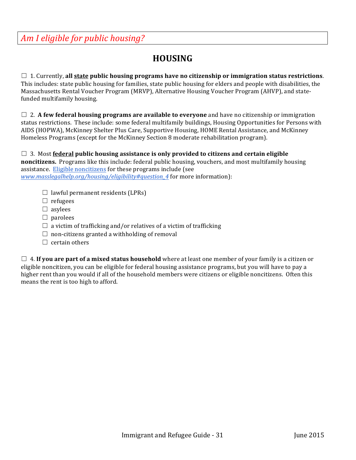# **HOUSING**

<span id="page-30-0"></span> $\Box$  1. Currently, all state public housing programs have no citizenship or immigration status restrictions. This includes: state public housing for families, state public housing for elders and people with disabilities, the Massachusetts Rental Voucher Program (MRVP), Alternative Housing Voucher Program (AHVP), and statefunded multifamily housing.

 $\Box$  2. **A few federal housing programs are available to everyone** and have no citizenship or immigration status restrictions. These include: some federal multifamily buildings, Housing Opportunities for Persons with AIDS (HOPWA), McKinney Shelter Plus Care, Supportive Housing, HOME Rental Assistance, and McKinney Homeless Programs (except for the McKinney Section 8 moderate rehabilitation program).

 $\Box$  3. Most <u>federal</u> public housing assistance is only provided to citizens and certain eligible **noncitizens.** Programs like this include: federal public housing, vouchers, and most multifamily housing assistance. Eligible noncitizens for these programs include (see *www.masslegalhelp.org/housing/eligibility#question\_4* for more information):

- $\Box$  lawful permanent residents (LPRs)
- $\Box$  refugees
- $\square$  asylees
- $\Box$  parolees
- $\Box$  a victim of trafficking and/or relatives of a victim of trafficking
- $\Box$  non-citizens granted a withholding of removal
- $\Box$  certain others

 $\Box$  4. **If you are part of a mixed status household** where at least one member of your family is a citizen or eligible noncitizen, you can be eligible for federal housing assistance programs, but you will have to pay a higher rent than you would if all of the household members were citizens or eligible noncitizens. Often this means the rent is too high to afford.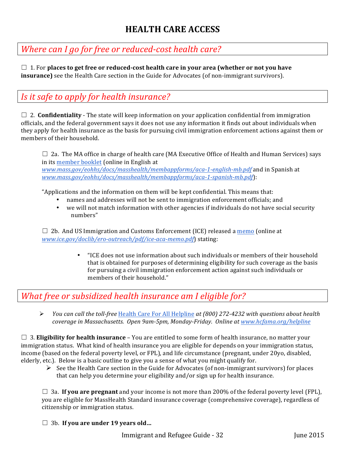# **HEALTH CARE ACCESS**

# <span id="page-31-0"></span>*Where can I go for free or reduced-cost health care?*

 $\Box$  1. For places to get free or reduced-cost health care in your area (whether or not you have **insurance**) see the Health Care section in the Guide for Advocates (of non-immigrant survivors).

## *Is it safe to apply for health insurance?*

 $\Box$  2. **Confidentiality** - The state will keep information on your application confidential from immigration officials, and the federal government says it does not use any information it finds out about individuals when they apply for health insurance as the basis for pursuing civil immigration enforcement actions against them or members of their household.

 $\Box$  2a. The MA office in charge of health care (MA Executive Office of Health and Human Services) says in its member booklet (online in English at

*www.mass.gov/eohhs/docs/masshealth/membappforms/aca-1-english-mb.pdf* and in Spanish at *www.mass.gov/eohhs/docs/masshealth/membappforms/aca-1-spanish-mb.pdf*):

"Applications and the information on them will be kept confidential. This means that:

- names and addresses will not be sent to immigration enforcement officials; and
- we will not match information with other agencies if individuals do not have social security numbers"

 $\Box$  2b. And US Immigration and Customs Enforcement (ICE) released a memo (online at *www.ice.gov/doclib/ero-outreach/pdf/ice-aca-memo.pdf*) stating:

> • "ICE does not use information about such individuals or members of their household that is obtained for purposes of determining eligibility for such coverage as the basis for pursuing a civil immigration enforcement action against such individuals or members of their household."

### *What free or subsidized health insurance am I eligible for?*

**►** *You can call the toll-free* Health Care For All Helpline *at (800)* 272-4232 with *questions about health* coverage in Massachusetts. Open 9am-5pm, Monday-Friday. Online at www.hcfama.org/helpline

 $\Box$  3. **Eligibility for health insurance** – You are entitled to some form of health insurance, no matter your immigration status. What kind of health insurance you are eligible for depends on your immigration status, income (based on the federal poverty level, or FPL), and life circumstance (pregnant, under 20yo, disabled, elderly, etc.). Below is a basic outline to give you a sense of what you might qualify for.

 $\triangleright$  See the Health Care section in the Guide for Advocates (of non-immigrant survivors) for places that can help you determine your eligibility and/or sign up for health insurance.

 $\Box$  3a. If you are pregnant and your income is not more than 200% of the federal poverty level (FPL), you are eligible for MassHealth Standard insurance coverage (comprehensive coverage), regardless of citizenship or immigration status.

#### □ 3b. If you are under 19 years old...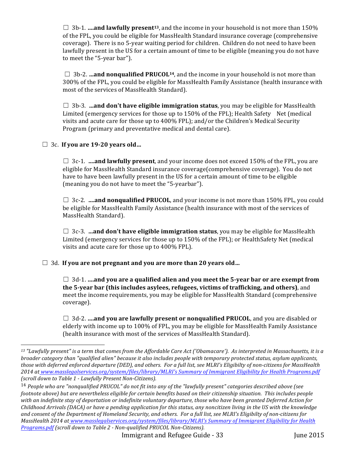$\Box$  3b-1. **….and lawfully present<sup>13</sup>**, and the income in your household is not more than 150% of the FPL, you could be eligible for MassHealth Standard insurance coverage (comprehensive coverage). There is no 5-year waiting period for children. Children do not need to have been lawfully present in the US for a certain amount of time to be eligible (meaning you do not have to meet the "5-year bar").

 $\Box$  3b-2. **…and nonqualified PRUCOL**<sup>14</sup>, and the income in your household is not more than 300% of the FPL, you could be eligible for MassHealth Family Assistance (health insurance with most of the services of MassHealth Standard).

 $\Box$  3b-3. **…and don't have eligible immigration status**, you may be eligible for MassHealth Limited (emergency services for those up to  $150\%$  of the FPL); Health Safety Net (medical visits and acute care for those up to  $400\%$  FPL); and/or the Children's Medical Security Program (primary and preventative medical and dental care).

#### □ 3c. If you are 19-20 years old...

 

 $\Box$  3c-1. **….and lawfully present**, and your income does not exceed 150% of the FPL, you are eligible for MassHealth Standard insurance coverage(comprehensive coverage). You do not have to have been lawfully present in the US for a certain amount of time to be eligible (meaning you do not have to meet the "5-yearbar").

 $\Box$  3c-2. **….and nonqualified PRUCOL**, and your income is not more than 150% FPL, you could be eligible for MassHealth Family Assistance (health insurance with most of the services of MassHealth Standard).

 $\Box$  3c-3. **…and don't have eligible immigration status**, you may be eligible for MassHealth Limited (emergency services for those up to 150% of the FPL); or HealthSafety Net (medical visits and acute care for those up to  $400\%$  FPL).

□ 3d. If you are not pregnant and you are more than 20 years old...

 $\Box$  3d-1. **….and you are a qualified alien and you meet the 5-year bar or are exempt from** the 5-year bar (this includes asylees, refugees, victims of trafficking, and others), and meet the income requirements, you may be eligible for MassHealth Standard (comprehensive coverage). 

 $\Box$  3d-2. **….and you are lawfully present or nonqualified PRUCOL**, and you are disabled or elderly with income up to 100% of FPL, you may be eligible for MassHealth Family Assistance (health insurance with most of the services of MassHealth Standard).

<sup>&</sup>lt;sup>13</sup> "Lawfully present" is a term that comes from the Affordable Care Act ('Obamacare'). As interpreted in Massachusetts, it is a *broader* category than "qualified alien" because it also includes people with temporary protected status, asylum applicants, those with deferred enforced departure (DED), and others. For a full list, see MLRI's Eligibilty of non-citizens for MassHealth 2014 at www.masslegalservices.org/system/files/library/MLRI's Summary of Immigrant Eligibility for Health Programs.pdf *(scroll down to Table 1 - Lawfully Present Non-Citizens).*

<sup>&</sup>lt;sup>14</sup> People who are "nonqualified PRUCOL" do not fit into any of the "lawfully present" categories described above (see *footnote above)* but are nevertheless eligible for certain benefits based on their citizenship situation. This includes people with an indefinite stay of deportation or indefinite voluntary departure, those who have been granted Deferred Action for *Childhood Arrivals* (DACA) or have a pending application for this status, any noncitizen living in the US with the knowledge and consent of the Department of Homeland Security, and others. For a full list, see MLRI's Eligibilty of non-citizens for *MassHealth 2014 at www.masslegalservices.org/system/files/library/MLRI's Summary of Immigrant Eligibility for Health Programs.pdf (scroll down to Table 2 - Non-qualified PRUCOL Non-Citizens).*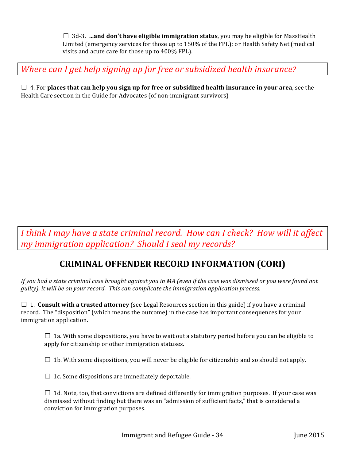$\Box$  3d-3.  $\ldots$  and don't have eligible immigration status, you may be eligible for MassHealth Limited (emergency services for those up to 150% of the FPL); or Health Safety Net (medical visits and acute care for those up to 400% FPL).

<span id="page-33-0"></span>*Where can I get help signing up for free or subsidized health insurance?* 

 $\Box$  4. For places that can help you sign up for free or subsidized health insurance in your area, see the Health Care section in the Guide for Advocates (of non-immigrant survivors)

*I* think I may have a state criminal record. How can I check? How will it affect *my* immigration application? Should I seal my records?

# **CRIMINAL OFFENDER RECORD INFORMATION (CORI)**

*If you had a state criminal case brought against you in MA (even if the case was dismissed or you were found not guilty*), it will be on your record. This can complicate the immigration application process.

 $\Box$  1. **Consult with a trusted attorney** (see Legal Resources section in this guide) if you have a criminal record. The "disposition" (which means the outcome) in the case has important consequences for your immigration application.

 $\Box$  1a. With some dispositions, you have to wait out a statutory period before you can be eligible to apply for citizenship or other immigration statuses.

 $\Box$  1b. With some dispositions, you will never be eligible for citizenship and so should not apply.

 $\Box$  1c. Some dispositions are immediately deportable.

 $\Box$  1d. Note, too, that convictions are defined differently for immigration purposes. If your case was dismissed without finding but there was an "admission of sufficient facts," that is considered a conviction for immigration purposes.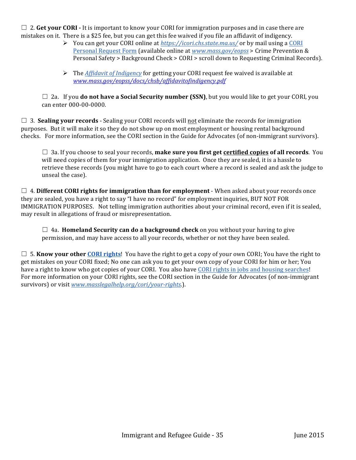$\Box$  2. **Get your CORI** - It is important to know your CORI for immigration purposes and in case there are mistakes on it. There is a \$25 fee, but you can get this fee waived if you file an affidavit of indigency.

- **►** You can get your CORI online at *https://icori.chs.state.ma.us/* or by mail using a CORI Personal Request Form (available online at *www.mass.gov/eopss* > Crime Prevention & Personal Safety > Background Check > CORI > scroll down to Requesting Criminal Records).
- $\triangleright$  The *Affidavit of Indigency* for getting your CORI request fee waived is available at *www.mass.gov/eopss/docs/chsb/affidavitofindigency.pdf*

 $\Box$  2a. If you **do not have a Social Security number (SSN)**, but you would like to get your CORI, you can enter 000-00-0000.

 $\Box$  3. **Sealing your records** - Sealing your CORI records will not eliminate the records for immigration purposes. But it will make it so they do not show up on most employment or housing rental background checks. For more information, see the CORI section in the Guide for Advocates (of non-immigrant survivors).

□ 3a. If you choose to seal your records, **make sure you first get <u>certified copies</u> of all records**. You will need copies of them for your immigration application. Once they are sealed, it is a hassle to retrieve these records (you might have to go to each court where a record is sealed and ask the judge to unseal the case).

 $\Box$  4. Different CORI rights for immigration than for employment - When asked about your records once they are sealed, you have a right to say "I have no record" for employment inquiries, BUT NOT FOR IMMIGRATION PURPOSES. Not telling immigration authorities about your criminal record, even if it is sealed, may result in allegations of fraud or misrepresentation.

 $\Box$  4a. **Homeland Security can do a background check** on you without your having to give permission, and may have access to all your records, whether or not they have been sealed.

 $\Box$  5. **Know your other CORI rights**! You have the right to get a copy of your own CORI; You have the right to get mistakes on your CORI fixed; No one can ask you to get your own copy of your CORI for him or her; You have a right to know who got copies of your CORI. You also have CORI rights in jobs and housing searches! For more information on your CORI rights, see the CORI section in the Guide for Advocates (of non-immigrant survivors) or visit www.masslegalhelp.org/cori/your-rights.).